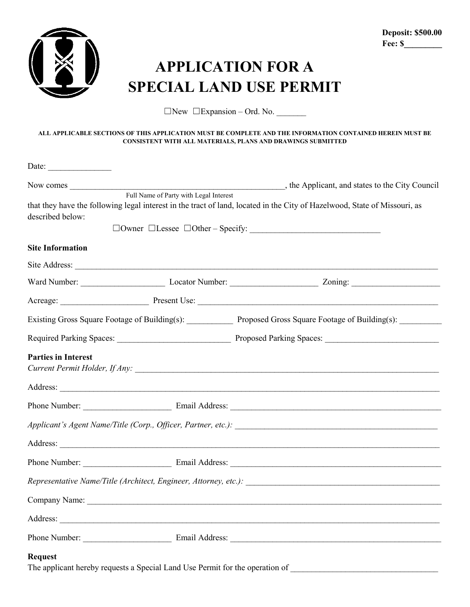

## **APPLICATION FOR A SPECIAL LAND USE PERMIT**

☐New ☐Expansion – Ord. No. \_\_\_\_\_\_\_

## **ALL APPLICABLE SECTIONS OF THIS APPLICATION MUST BE COMPLETE AND THE INFORMATION CONTAINED HEREIN MUST BE CONSISTENT WITH ALL MATERIALS, PLANS AND DRAWINGS SUBMITTED**

| Date:                                                                                          |  |                                                                                                                           |  |  |
|------------------------------------------------------------------------------------------------|--|---------------------------------------------------------------------------------------------------------------------------|--|--|
| Full Name of Party with Legal Interest                                                         |  |                                                                                                                           |  |  |
| described below:                                                                               |  | that they have the following legal interest in the tract of land, located in the City of Hazelwood, State of Missouri, as |  |  |
| <b>Site Information</b>                                                                        |  |                                                                                                                           |  |  |
|                                                                                                |  |                                                                                                                           |  |  |
|                                                                                                |  |                                                                                                                           |  |  |
|                                                                                                |  |                                                                                                                           |  |  |
|                                                                                                |  | Existing Gross Square Footage of Building(s): Proposed Gross Square Footage of Building(s): _______                       |  |  |
|                                                                                                |  |                                                                                                                           |  |  |
| <b>Parties in Interest</b>                                                                     |  |                                                                                                                           |  |  |
|                                                                                                |  |                                                                                                                           |  |  |
|                                                                                                |  |                                                                                                                           |  |  |
|                                                                                                |  |                                                                                                                           |  |  |
|                                                                                                |  |                                                                                                                           |  |  |
|                                                                                                |  |                                                                                                                           |  |  |
|                                                                                                |  |                                                                                                                           |  |  |
| Company Name:                                                                                  |  |                                                                                                                           |  |  |
|                                                                                                |  |                                                                                                                           |  |  |
|                                                                                                |  |                                                                                                                           |  |  |
| <b>Request</b><br>The applicant hereby requests a Special Land Use Permit for the operation of |  |                                                                                                                           |  |  |